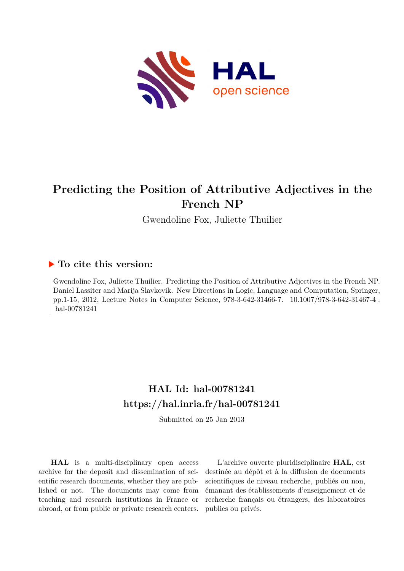

# **Predicting the Position of Attributive Adjectives in the French NP**

Gwendoline Fox, Juliette Thuilier

# **To cite this version:**

Gwendoline Fox, Juliette Thuilier. Predicting the Position of Attributive Adjectives in the French NP. Daniel Lassiter and Marija Slavkovik. New Directions in Logic, Language and Computation, Springer, pp.1-15, 2012, Lecture Notes in Computer Science, 978-3-642-31466-7. 10.1007/978-3-642-31467-4. hal-00781241

# **HAL Id: hal-00781241 <https://hal.inria.fr/hal-00781241>**

Submitted on 25 Jan 2013

**HAL** is a multi-disciplinary open access archive for the deposit and dissemination of scientific research documents, whether they are published or not. The documents may come from teaching and research institutions in France or abroad, or from public or private research centers.

L'archive ouverte pluridisciplinaire **HAL**, est destinée au dépôt et à la diffusion de documents scientifiques de niveau recherche, publiés ou non, émanant des établissements d'enseignement et de recherche français ou étrangers, des laboratoires publics ou privés.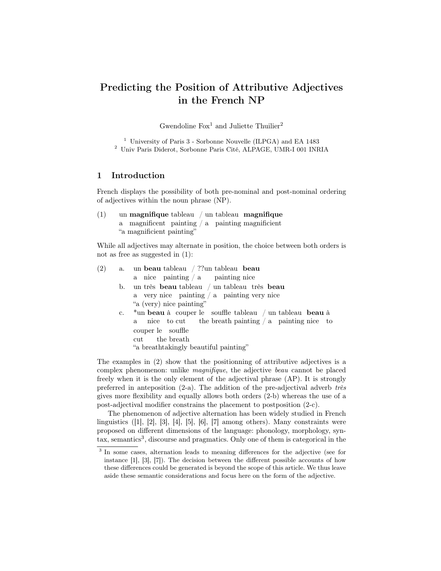# Predicting the Position of Attributive Adjectives in the French NP

Gwendoline  $Fox<sup>1</sup>$  and Juliette Thuilier<sup>2</sup>

 $^{\rm 1}$  University of Paris  $3$  - Sorbonne Nouvelle (ILPGA) and EA 1483 <sup>2</sup> Univ Paris Diderot, Sorbonne Paris Cité, ALPAGE, UMR-I 001 INRIA

# 1 Introduction

French displays the possibility of both pre-nominal and post-nominal ordering of adjectives within the noun phrase (NP).

(1) un magnifique tableau / un tableau magnifique a magnificent painting a painting magnificient "a magnificient painting"

While all adjectives may alternate in position, the choice between both orders is not as free as suggested in (1):

| (2) |    | a. un beau tableau / ??un tableau beau                      |
|-----|----|-------------------------------------------------------------|
|     |    | a nice painting $/a$ painting nice                          |
|     | b. | un très beau tableau / un tableau très beau                 |
|     |    | a very nice painting $\alpha$ painting very nice            |
|     |    | "a (very) nice painting"                                    |
|     |    | c. *un beau à couper le souffle tableau / un tableau beau à |
|     |    | a nice to cut the breath painting $\alpha$ painting nice to |
|     |    | couper le souffle                                           |
|     |    | cut the breath                                              |
|     |    | "a breathtakingly beautiful painting"                       |
|     |    |                                                             |

The examples in (2) show that the positionning of attributive adjectives is a complex phenomenon: unlike magnifique, the adjective beau cannot be placed freely when it is the only element of the adjectival phrase (AP). It is strongly preferred in anteposition (2-a). The addition of the pre-adjectival adverb très gives more flexibility and equally allows both orders (2-b) whereas the use of a post-adjectival modifier constrains the placement to postposition (2-c).

The phenomenon of adjective alternation has been widely studied in French linguistics  $(1, 2, 3, 4, 5, 6, 7]$  among others). Many constraints were proposed on different dimensions of the language: phonology, morphology, syntax, semantics<sup>3</sup>, discourse and pragmatics. Only one of them is categorical in the

<sup>&</sup>lt;sup>3</sup> In some cases, alternation leads to meaning differences for the adjective (see for instance [1], [3], [7]). The decision between the different possible accounts of how these differences could be generated is beyond the scope of this article. We thus leave aside these semantic considerations and focus here on the form of the adjective.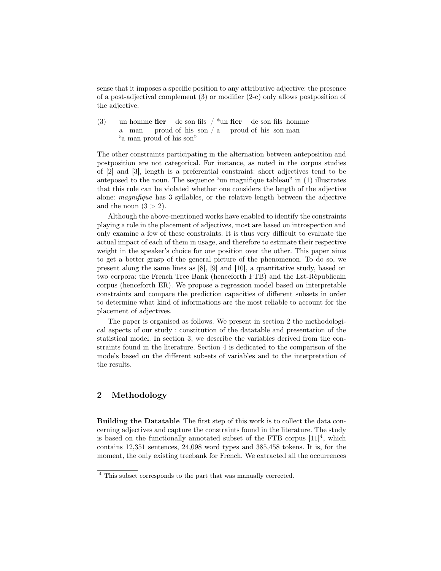sense that it imposes a specific position to any attributive adjective: the presence of a post-adjectival complement  $(3)$  or modifier  $(2-c)$  only allows postposition of the adjective.

 $(3)$ a man homme fier proud of his son / a  $\mathrm{d}\mathrm{e}\, \sin\,\mathrm{fils}\, \left/\right. \mathrm{*un}\, \mathbf{fier}$ proud of his son man de son fils homme "a man proud of his son"

The other constraints participating in the alternation between anteposition and postposition are not categorical. For instance, as noted in the corpus studies of [2] and [3], length is a preferential constraint: short adjectives tend to be anteposed to the noun. The sequence "un magnifique tableau" in (1) illustrates that this rule can be violated whether one considers the length of the adjective alone: magnifique has 3 syllables, or the relative length between the adjective and the noun  $(3 > 2)$ .

Although the above-mentioned works have enabled to identify the constraints playing a role in the placement of adjectives, most are based on introspection and only examine a few of these constraints. It is thus very difficult to evaluate the actual impact of each of them in usage, and therefore to estimate their respective weight in the speaker's choice for one position over the other. This paper aims to get a better grasp of the general picture of the phenomenon. To do so, we present along the same lines as  $[8]$ ,  $[9]$  and  $[10]$ , a quantitative study, based on two corpora: the French Tree Bank (henceforth FTB) and the Est-Républicain corpus (henceforth ER). We propose a regression model based on interpretable constraints and compare the prediction capacities of different subsets in order to determine what kind of informations are the most reliable to account for the placement of adjectives.

The paper is organised as follows. We present in section 2 the methodological aspects of our study : constitution of the datatable and presentation of the statistical model. In section 3, we describe the variables derived from the constraints found in the literature. Section 4 is dedicated to the comparison of the models based on the different subsets of variables and to the interpretation of the results.

## 2 Methodology

Building the Datatable The first step of this work is to collect the data concerning adjectives and capture the constraints found in the literature. The study is based on the functionally annotated subset of the FTB corpus  $[11]^4$ , which contains 12,351 sentences, 24,098 word types and 385,458 tokens. It is, for the moment, the only existing treebank for French. We extracted all the occurrences

<sup>4</sup> This subset corresponds to the part that was manually corrected.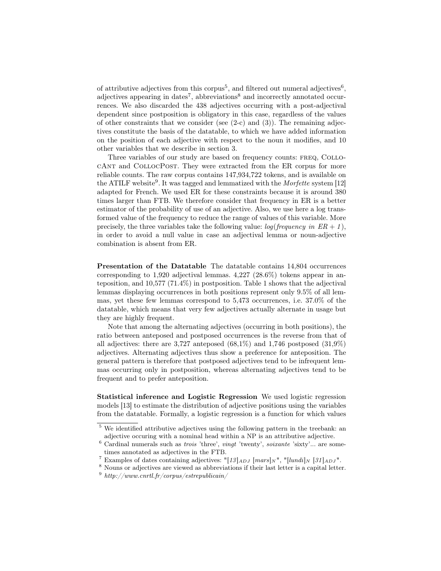of attributive adjectives from this corpus<sup>5</sup>, and filtered out numeral adjectives<sup>6</sup>, adjectives appearing in dates<sup>7</sup>, abbreviations<sup>8</sup> and incorrectly annotated occurrences. We also discarded the 438 adjectives occurring with a post-adjectival dependent since postposition is obligatory in this case, regardless of the values of other constraints that we consider (see  $(2-c)$  and  $(3)$ ). The remaining adjectives constitute the basis of the datatable, to which we have added information on the position of each adjective with respect to the noun it modifies, and 10 other variables that we describe in section 3.

Three variables of our study are based on frequency counts: freq, CollocAnt and CollocPost. They were extracted from the ER corpus for more reliable counts. The raw corpus contains 147,934,722 tokens, and is available on the ATILF website<sup>9</sup>. It was tagged and lemmatized with the *Morfette* system [12] adapted for French. We used ER for these constraints because it is around 380 times larger than FTB. We therefore consider that frequency in ER is a better estimator of the probability of use of an adjective. Also, we use here a log transformed value of the frequency to reduce the range of values of this variable. More precisely, the three variables take the following value:  $log(frequency \ in \ ER + 1)$ , in order to avoid a null value in case an adjectival lemma or noun-adjective combination is absent from ER.

Presentation of the Datatable The datatable contains 14,804 occurrences corresponding to 1,920 adjectival lemmas. 4,227 (28.6%) tokens appear in anteposition, and 10,577 (71.4%) in postposition. Table 1 shows that the adjectival lemmas displaying occurrences in both positions represent only 9.5% of all lemmas, yet these few lemmas correspond to 5,473 occurrences, i.e. 37.0% of the datatable, which means that very few adjectives actually alternate in usage but they are highly frequent.

Note that among the alternating adjectives (occurring in both positions), the ratio between anteposed and postposed occurrences is the reverse from that of all adjectives: there are 3,727 anteposed  $(68,1\%)$  and 1,746 postposed  $(31,9\%)$ adjectives. Alternating adjectives thus show a preference for anteposition. The general pattern is therefore that postposed adjectives tend to be infrequent lemmas occurring only in postposition, whereas alternating adjectives tend to be frequent and to prefer anteposition.

Statistical inference and Logistic Regression We used logistic regression models [13] to estimate the distribution of adjective positions using the variables from the datatable. Formally, a logistic regression is a function for which values

<sup>&</sup>lt;sup>5</sup> We identified attributive adjectives using the following pattern in the treebank: an adjective occuring with a nominal head within a NP is an attributive adjective.

<sup>6</sup> Cardinal numerals such as trois 'three', vingt 'twenty', soixante 'sixty'... are sometimes annotated as adjectives in the FTB.

<sup>&</sup>lt;sup>7</sup> Examples of dates containing adjectives: "[13]<sub>ADJ</sub> [mars]<sub>N</sub>", "[lundi]<sub>N</sub> [31]<sub>ADJ</sub>".

<sup>8</sup> Nouns or adjectives are viewed as abbreviations if their last letter is a capital letter.

 $^{9}$  http://www.cnrtl.fr/corpus/estrepublicain/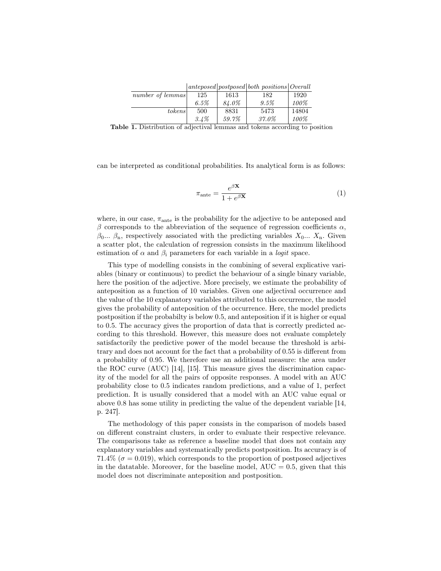|                  |         |       | anteposed   postposed   both positions   Overall |       |
|------------------|---------|-------|--------------------------------------------------|-------|
| number of lemmas | 125     | 1613  | 182                                              | 1920  |
|                  | $6.5\%$ | 84.0% | $9.5\%$                                          | 100%  |
| tokens           | 500     | 8831  | 5473                                             | 14804 |
|                  | $3.4\%$ | 59.7% | 37.0%                                            | 100%  |

Table 1. Distribution of adjectival lemmas and tokens according to position

can be interpreted as conditional probabilities. Its analytical form is as follows:

$$
\pi_{\text{ante}} = \frac{e^{\beta \mathbf{X}}}{1 + e^{\beta \mathbf{X}}} \tag{1}
$$

where, in our case,  $\pi_{\text{ante}}$  is the probability for the adjective to be anteposed and  $\beta$  corresponds to the abbreviation of the sequence of regression coefficients  $\alpha$ ,  $\beta_0$ ...  $\beta_n$ , respectively associated with the predicting variables  $X_0$ ...  $X_n$ . Given a scatter plot, the calculation of regression consists in the maximum likelihood estimation of  $\alpha$  and  $\beta_i$  parameters for each variable in a *logit* space.

This type of modelling consists in the combining of several explicative variables (binary or continuous) to predict the behaviour of a single binary variable, here the position of the adjective. More precisely, we estimate the probability of anteposition as a function of 10 variables. Given one adjectival occurrence and the value of the 10 explanatory variables attributed to this occurrence, the model gives the probability of anteposition of the occurrence. Here, the model predicts postposition if the probabilty is below 0.5, and anteposition if it is higher or equal to 0.5. The accuracy gives the proportion of data that is correctly predicted according to this threshold. However, this measure does not evaluate completely satisfactorily the predictive power of the model because the threshold is arbitrary and does not account for the fact that a probability of 0.55 is different from a probability of 0.95. We therefore use an additional measure: the area under the ROC curve (AUC) [14], [15]. This measure gives the discrimination capacity of the model for all the pairs of opposite responses. A model with an AUC probability close to 0.5 indicates random predictions, and a value of 1, perfect prediction. It is usually considered that a model with an AUC value equal or above 0.8 has some utility in predicting the value of the dependent variable [14, p. 247].

The methodology of this paper consists in the comparison of models based on different constraint clusters, in order to evaluate their respective relevance. The comparisons take as reference a baseline model that does not contain any explanatory variables and systematically predicts postposition. Its accuracy is of  $71.4\%$  ( $\sigma = 0.019$ ), which corresponds to the proportion of postposed adjectives in the datatable. Moreover, for the baseline model,  $AUC = 0.5$ , given that this model does not discriminate anteposition and postposition.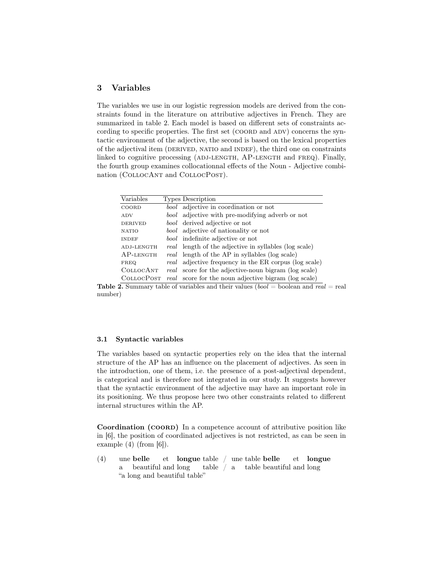# 3 Variables

The variables we use in our logistic regression models are derived from the constraints found in the literature on attributive adjectives in French. They are summarized in table 2. Each model is based on different sets of constraints according to specific properties. The first set (COORD and ADV) concerns the syntactic environment of the adjective, the second is based on the lexical properties of the adjectival item (derived, natio and indef), the third one on constraints linked to cognitive processing (ADJ-LENGTH, AP-LENGTH and FREQ). Finally, the fourth group examines collocationnal effects of the Noun - Adjective combination (COLLOCANT and COLLOCPOST).

| Variables         | <b>Types Description</b>                                     |
|-------------------|--------------------------------------------------------------|
| COORD             | <i>bool</i> adjective in coordination or not                 |
| <b>ADV</b>        | <i>bool</i> adjective with pre-modifying adverb or not       |
| <b>DERIVED</b>    | <i>bool</i> derived adjective or not                         |
| <b>NATIO</b>      | <i>bool</i> adjective of nationality or not                  |
| <b>INDEF</b>      | <i>bool</i> indefinite adjective or not                      |
| ADJ-LENGTH        | <i>real</i> length of the adjective in syllables (log scale) |
| AP-LENGTH         | <i>real</i> length of the AP in syllables (log scale)        |
| FREO              | <i>real</i> adjective frequency in the ER corpus (log scale) |
| COLLOCANT         | <i>real</i> score for the adjective-noun bigram (log scale)  |
| <b>COLLOCPOST</b> | <i>real</i> score for the noun adjective bigram (log scale)  |

**Table 2.** Summary table of variables and their values (*bool* = boolean and real = real number)

#### 3.1 Syntactic variables

The variables based on syntactic properties rely on the idea that the internal structure of the AP has an influence on the placement of adjectives. As seen in the introduction, one of them, i.e. the presence of a post-adjectival dependent, is categorical and is therefore not integrated in our study. It suggests however that the syntactic environment of the adjective may have an important role in its positioning. We thus propose here two other constraints related to different internal structures within the AP.

Coordination (coord) In a competence account of attributive position like in [6], the position of coordinated adjectives is not restricted, as can be seen in example  $(4)$  (from  $[6]$ ).

(4) une belle a beautiful and long et longue table / une table belle table / a table beautiful and long et longue "a long and beautiful table"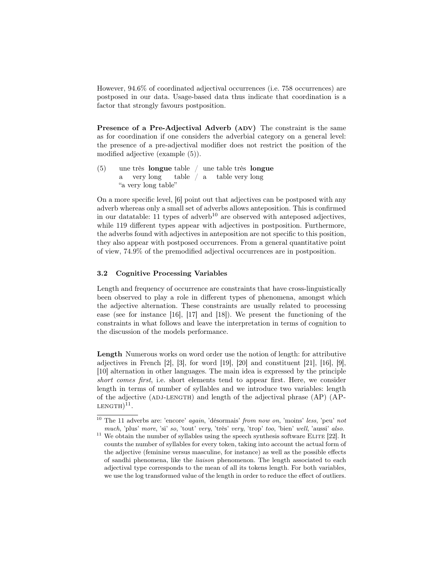However, 94.6% of coordinated adjectival occurrences (i.e. 758 occurrences) are postposed in our data. Usage-based data thus indicate that coordination is a factor that strongly favours postposition.

Presence of a Pre-Adjectival Adverb (ADV) The constraint is the same as for coordination if one considers the adverbial category on a general level: the presence of a pre-adjectival modifier does not restrict the position of the modified adjective (example (5)).

(5) une très longue table / une table très longue a very long table / a table very long "a very long table"

On a more specific level, [6] point out that adjectives can be postposed with any adverb whereas only a small set of adverbs allows anteposition. This is confirmed in our datatable: 11 types of adverb<sup>10</sup> are observed with anteposed adjectives, while 119 different types appear with adjectives in postposition. Furthermore, the adverbs found with adjectives in anteposition are not specific to this position, they also appear with postposed occurrences. From a general quantitative point of view, 74.9% of the premodified adjectival occurrences are in postposition.

#### 3.2 Cognitive Processing Variables

Length and frequency of occurrence are constraints that have cross-linguistically been observed to play a role in different types of phenomena, amongst which the adjective alternation. These constraints are usually related to processing ease (see for instance [16], [17] and [18]). We present the functioning of the constraints in what follows and leave the interpretation in terms of cognition to the discussion of the models performance.

Length Numerous works on word order use the notion of length: for attributive adjectives in French [2], [3], for word [19], [20] and constituent [21], [16], [9], [10] alternation in other languages. The main idea is expressed by the principle short comes first, i.e. short elements tend to appear first. Here, we consider length in terms of number of syllables and we introduce two variables: length of the adjective (ADJ-LENGTH) and length of the adjectival phrase  $AP$ ) (AP- $\text{LENGTH}$  $^{11}$ .

<sup>&</sup>lt;sup>10</sup> The 11 adverbs are: 'encore' *again*, 'désormais' *from now on*, 'moins' less, 'peu' not much, 'plus' more, 'si' so, 'tout' very, 'très' very, 'trop' too, 'bien' well, 'aussi' also.

 $11$  We obtain the number of syllables using the speech synthesis software ELITE [22]. It counts the number of syllables for every token, taking into account the actual form of the adjective (feminine versus masculine, for instance) as well as the possible effects of sandhi phenomena, like the liaison phenomenon. The length associated to each adjectival type corresponds to the mean of all its tokens length. For both variables, we use the log transformed value of the length in order to reduce the effect of outliers.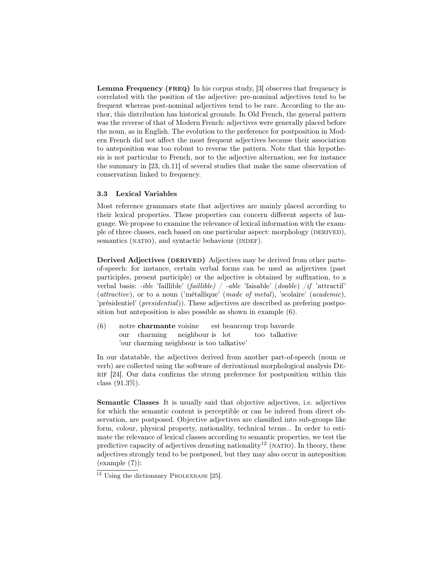Lemma Frequency (FREQ) In his corpus study, [3] observes that frequency is correlated with the position of the adjective: pre-nominal adjectives tend to be frequent whereas post-nominal adjectives tend to be rare. According to the author, this distribution has historical grounds. In Old French, the general pattern was the reverse of that of Modern French: adjectives were generally placed before the noun, as in English. The evolution to the preference for postposition in Modern French did not affect the most frequent adjectives because their association to anteposition was too robust to reverse the pattern. Note that this hypothesis is not particular to French, nor to the adjective alternation, see for instance the summary in [23, ch.11] of several studies that make the same observation of conservatism linked to frequency.

#### 3.3 Lexical Variables

Most reference grammars state that adjectives are mainly placed according to their lexical properties. These properties can concern different aspects of language. We propose to examine the relevance of lexical information with the example of three classes, each based on one particular aspect: morphology (derived), semantics (NATIO), and syntactic behaviour (INDEF).

Derived Adjectives (DERIVED) Adjectives may be derived from other partsof-speech: for instance, certain verbal forms can be used as adjectives (past participles, present participle) or the adjective is obtained by suffixation, to a verbal basis: -ible 'faillible' (faillible) / -able 'faisable' (doable) /if 'attractif' (attractive), or to a noun ('métallique' (made of metal), 'scolaire' (academic), 'présidentiel' (presidential)). These adjectives are described as prefering postposition but anteposition is also possible as shown in example (6).

(6) notre charmante voisine our charming neighbour is lot est beaucoup trop bavarde too talkative 'our charming neighbour is too talkative'

In our datatable, the adjectives derived from another part-of-speech (noun or verb) are collected using the software of derivational morphological analysis De-RIF  $[24]$ . Our data confirms the strong preference for postposition within this class (91.3%).

Semantic Classes It is usually said that objective adjectives, i.e. adjectives for which the semantic content is perceptible or can be infered from direct observation, are postposed. Objective adjectives are classified into sub-groups like form, colour, physical property, nationality, technical terms... In order to estimate the relevance of lexical classes according to semantic properties, we test the predictive capacity of adjectives denoting nationality<sup>12</sup> (NATIO). In theory, these adjectives strongly tend to be postposed, but they may also occur in anteposition  $(example (7)):$ 

 $\frac{12}{12}$  Using the dictionnary PROLEXBASE [25].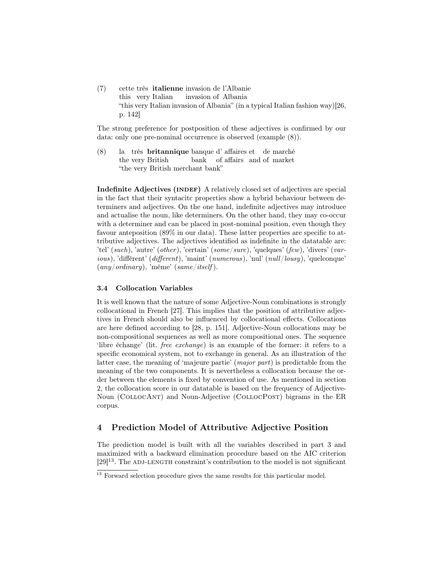(7) cette très italienne invasion de l'Albanie this very Italian invasion of Albania "this very Italian invasion of Albania" (in a typical Italian fashion way)[26, p. 142]

The strong preference for postposition of these adjectives is confirmed by our data: only one pre-nominal occurrence is observed (example (8)).

 $(8)$ the very British très **britannique** banque d'affaires et de marché bank of affairs and of market "the very British merchant bank"

Indefinite Adjectives (INDEF) A relatively closed set of adjectives are special in the fact that their syntacitc properties show a hybrid behaviour between determiners and adjectives. On the one hand, indefinite adjectives may introduce and actualise the noun, like determiners. On the other hand, they may co-occur with a determiner and can be placed in post-nominal position, even though they favour anteposition (89% in our data). These latter properties are specific to attributive adjectives. The adjectives identified as indefinite in the datatable are: 'tel'  $(such)$ , 'autre'  $(other)$ , 'certain'  $(some/sure)$ , 'quelques'  $(few)$ , 'divers'  $(var$ ious), 'différent' (different), 'maint' (numerous), 'nul' (null/lousy), 'quelconque'  $(\textit{any}/\textit{ordinary})$ , 'même'  $(\textit{same}/\textit{itself})$ .

#### 3.4 Collocation Variables

It is well known that the nature of some Adjective-Noun combinations is strongly collocational in French [27]. This implies that the position of attributive adjectives in French should also be influenced by collocational effects. Collocations are here defined according to [28, p. 151]. Adjective-Noun collocations may be non-compositional sequences as well as more compositional ones. The sequence 'libre échange' (lit. free exchange) is an example of the former: it refers to a specific economical system, not to exchange in general. As an illustration of the latter case, the meaning of 'majeure partie' (major part) is predictable from the meaning of the two components. It is nevertheless a collocation because the order between the elements is fixed by convention of use. As mentioned in section 2, the collocation score in our datatable is based on the frequency of Adjective-Noun (CollocAnt) and Noun-Adjective (CollocPost) bigrams in the ER corpus.

### 4 Prediction Model of Attributive Adjective Position

The prediction model is built with all the variables described in part 3 and maximized with a backward elimination procedure based on the AIC criterion  $[29]^{13}$ . The ADJ-LENGTH constraint's contribution to the model is not significant

 $\frac{13}{13}$  Forward selection procedure gives the same results for this particular model.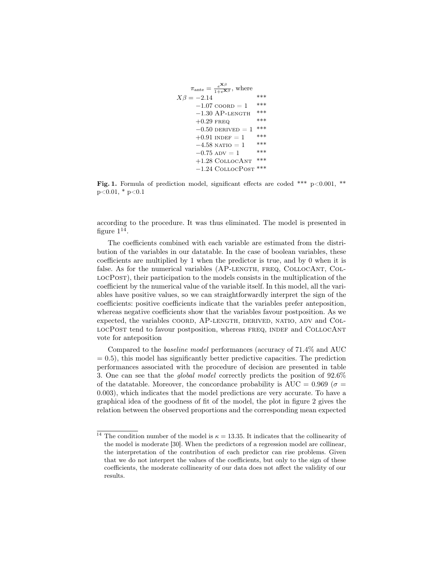$$
\pi_{\text{ante}} = \frac{e^{\mathbf{X}\beta}}{1+e^{\mathbf{X}\beta}}, \text{ where }\\ X\beta = -2.14 \qquad ***\\ -1.07 \text{ COORD} = 1 \qquad ***\\ -1.30 \text{ AP-LENGTH} \qquad ***\\ +0.29 \text{ FREQ} \qquad ***\\ -0.50 \text{ DERIVED} = 1 \qquad ***\\ +0.91 \text{ INDEF} = 1 \qquad ***\\ -4.58 \text{ NATIO} = 1 \qquad ***\\ -0.75 \text{ ADV} = 1 \qquad ***\\ +1.28 \text{COLLOCANT} \qquad ***\\ -1.24 \text{COLLOCPost} ****
$$

Fig. 1. Formula of prediction model, significant effects are coded \*\*\* p<0.001, \*\*  $p<0.01$ , \*  $p<0.1$ 

according to the procedure. It was thus eliminated. The model is presented in figure  $1^{14}$ .

The coefficients combined with each variable are estimated from the distribution of the variables in our datatable. In the case of boolean variables, these coefficients are multiplied by 1 when the predictor is true, and by 0 when it is false. As for the numerical variables (AP-LENGTH, FREQ, COLLOCANT, COLlocPost), their participation to the models consists in the multiplication of the coefficient by the numerical value of the variable itself. In this model, all the variables have positive values, so we can straightforwardly interpret the sign of the coefficients: positive coefficients indicate that the variables prefer anteposition, whereas negative coefficients show that the variables favour postposition. As we expected, the variables COORD, AP-LENGTH, DERIVED, NATIO, ADV and COL-LOCPOST tend to favour postposition, whereas FREQ, INDEF and COLLOCANT vote for anteposition

Compared to the baseline model performances (accuracy of 71.4% and AUC  $= 0.5$ ), this model has significantly better predictive capacities. The prediction performances associated with the procedure of decision are presented in table 3. One can see that the global model correctly predicts the position of 92.6% of the datatable. Moreover, the concordance probability is  $AUC = 0.969$  ( $\sigma =$ 0.003), which indicates that the model predictions are very accurate. To have a graphical idea of the goodness of fit of the model, the plot in figure 2 gives the relation between the observed proportions and the corresponding mean expected

<sup>&</sup>lt;sup>14</sup> The condition number of the model is  $\kappa = 13.35$ . It indicates that the collinearity of the model is moderate [30]. When the predictors of a regression model are collinear, the interpretation of the contribution of each predictor can rise problems. Given that we do not interpret the values of the coefficients, but only to the sign of these coefficients, the moderate collinearity of our data does not affect the validity of our results.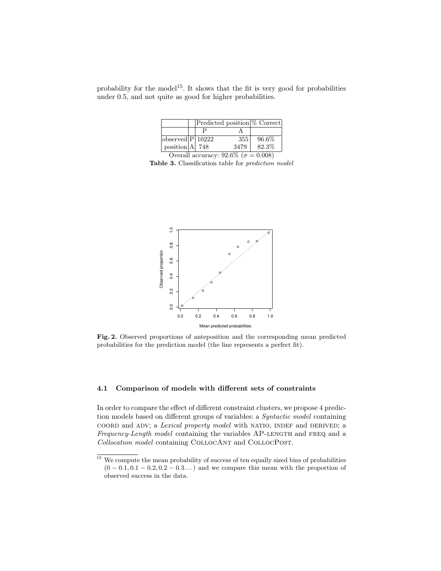probability for the model<sup>15</sup>. It shows that the fit is very good for probabilities under 0.5, and not quite as good for higher probabilities.

|                                                          |  |  |      | Predicted position \% Correct |
|----------------------------------------------------------|--|--|------|-------------------------------|
|                                                          |  |  |      |                               |
| $\lfloor \text{observed} \rfloor \text{P} \rfloor 10222$ |  |  | 355  | $96.6\%$                      |
| position $A$ 748                                         |  |  | 3479 | $82.3\%$                      |
| Overall accuracy: 92.6\% ( $\sigma = 0.008$ )            |  |  |      |                               |

Table 3. Classification table for *prediction model* 



Fig. 2. Observed proportions of anteposition and the corresponding mean predicted probabilities for the prediction model (the line represents a perfect fit).

## 4.1 Comparison of models with different sets of constraints

In order to compare the effect of different constraint clusters, we propose 4 prediction models based on different groups of variables: a Syntactic model containing coord and ADV; a *Lexical property model* with NATIO, INDEF and DERIVED; a Frequency-Length model containing the variables AP-LENGTH and FREQ and a Collocation model containing COLLOCANT and COLLOCPOST.

 $^{15}\,$  We compute the mean probability of success of ten equally sized bins of probabilities  $(0 - 0.1, 0.1 - 0.2, 0.2 - 0.3...)$  and we compare this mean with the proportion of observed success in the data.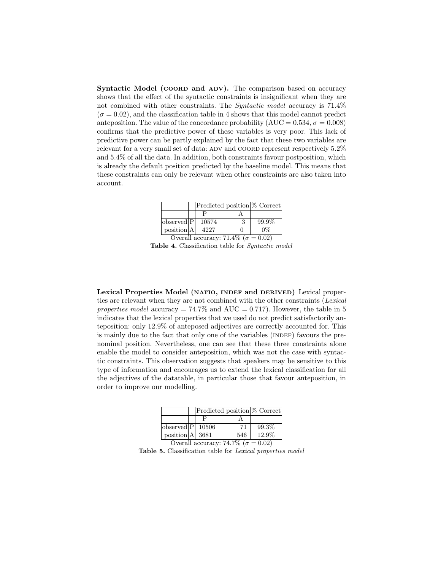Syntactic Model (COORD and ADV). The comparison based on accuracy shows that the effect of the syntactic constraints is insignificant when they are not combined with other constraints. The *Syntactic model* accuracy is  $71.4\%$  $(\sigma = 0.02)$ , and the classification table in 4 shows that this model cannot predict anteposition. The value of the concordance probability  $(AUC = 0.534, \sigma = 0.008)$ confirms that the predictive power of these variables is very poor. This lack of predictive power can be partly explained by the fact that these two variables are relevant for a very small set of data: ADV and COORD represent respectively  $5.2\%$ and 5.4% of all the data. In addition, both constraints favour postposition, which is already the default position predicted by the baseline model. This means that these constraints can only be relevant when other constraints are also taken into account.

|                                      |       | Predicted position \% Correct |
|--------------------------------------|-------|-------------------------------|
|                                      |       |                               |
| $\sqrt{\text{observed} \mathbf{P} }$ | 10574 | $99.9\%$                      |
| position A                           | 4227  |                               |

Overall accuracy:  $71.4\%$  ( $\sigma = 0.02$ ) Table 4. Classification table for Syntactic model

Lexical Properties Model (NATIO, INDEF and DERIVED) Lexical properties are relevant when they are not combined with the other constraints (Lexical properties model accuracy = 74.7% and AUC = 0.717). However, the table in 5 indicates that the lexical properties that we used do not predict satisfactorily anteposition: only 12.9% of anteposed adjectives are correctly accounted for. This is mainly due to the fact that only one of the variables (INDEF) favours the prenominal position. Nevertheless, one can see that these three constraints alone enable the model to consider anteposition, which was not the case with syntactic constraints. This observation suggests that speakers may be sensitive to this type of information and encourages us to extend the lexical classification for all the adjectives of the datatable, in particular those that favour anteposition, in order to improve our modelling.

|                                              |  |  |     | Predicted position \% Correct |
|----------------------------------------------|--|--|-----|-------------------------------|
|                                              |  |  |     |                               |
| observed $\boxed{\text{P}$ 10506             |  |  | 71  | 99.3%                         |
| position $A$ 3681                            |  |  | 546 | 12.9%                         |
| Overall accuracy: 74.7\% ( $\sigma = 0.02$ ) |  |  |     |                               |

Table 5. Classification table for Lexical properties model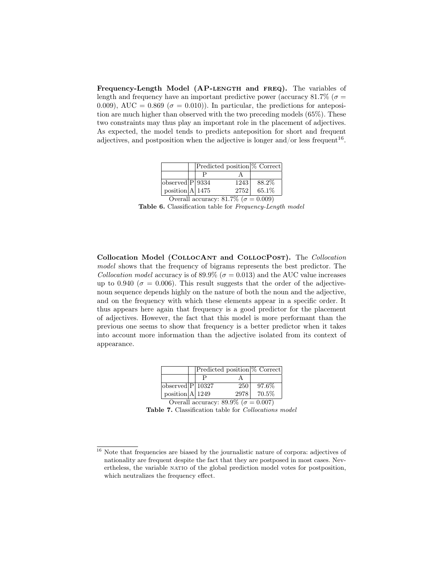Frequency-Length Model (AP-LENGTH and FREQ). The variables of length and frequency have an important predictive power (accuracy 81.7% ( $\sigma$  = 0.009), AUC = 0.869 ( $\sigma$  = 0.010)). In particular, the predictions for anteposition are much higher than observed with the two preceding models (65%). These two constraints may thus play an important role in the placement of adjectives. As expected, the model tends to predicts anteposition for short and frequent adjectives, and postposition when the adjective is longer and/or less frequent<sup>16</sup>.

|                                               |  |  |      | Predicted position \% Correct |
|-----------------------------------------------|--|--|------|-------------------------------|
|                                               |  |  |      |                               |
| observed $\sqrt{P\sqrt{9334}}$                |  |  | 1243 | 88.2%                         |
| position $A 1475$                             |  |  | 2752 | $65.1\%$                      |
| Overall accuracy: 81.7\% ( $\sigma = 0.009$ ) |  |  |      |                               |

Table 6. Classification table for Frequency-Length model

Collocation Model (COLLOCANT and COLLOCPOST). The Collocation model shows that the frequency of bigrams represents the best predictor. The Collocation model accuracy is of 89.9% ( $\sigma = 0.013$ ) and the AUC value increases up to 0.940 ( $\sigma = 0.006$ ). This result suggests that the order of the adjectivenoun sequence depends highly on the nature of both the noun and the adjective, and on the frequency with which these elements appear in a specific order. It thus appears here again that frequency is a good predictor for the placement of adjectives. However, the fact that this model is more performant than the previous one seems to show that frequency is a better predictor when it takes into account more information than the adjective isolated from its context of appearance.

|                                   |  |           | Predicted position \% Correct |
|-----------------------------------|--|-----------|-------------------------------|
|                                   |  |           |                               |
| observed $\boxed{\text{P} 10327}$ |  | 250       | 97.6%                         |
| position $A 1249$                 |  | 2978      | 70.5%                         |
| $\sim$                            |  | $- - - -$ | - - - - -                     |

Overall accuracy: 89.9% ( $\sigma = 0.007$ )

Table 7. Classification table for Collocations model

<sup>16</sup> Note that frequencies are biased by the journalistic nature of corpora: adjectives of nationality are frequent despite the fact that they are postposed in most cases. Nevertheless, the variable natio of the global prediction model votes for postposition, which neutralizes the frequency effect.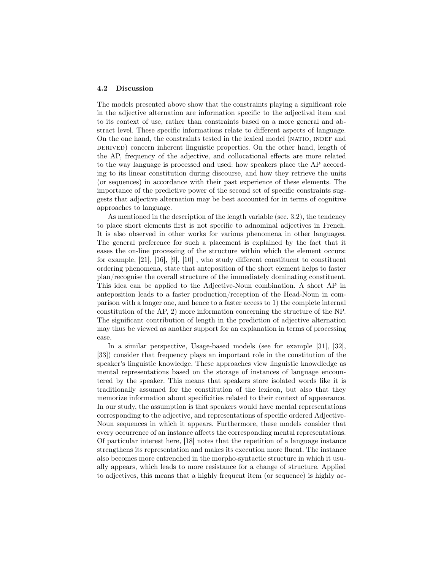#### 4.2 Discussion

The models presented above show that the constraints playing a significant role in the adjective alternation are information specific to the adjectival item and to its context of use, rather than constraints based on a more general and abstract level. These specific informations relate to different aspects of language. On the one hand, the constraints tested in the lexical model (NATIO, INDEF and derived) concern inherent linguistic properties. On the other hand, length of the AP, frequency of the adjective, and collocational effects are more related to the way language is processed and used: how speakers place the AP according to its linear constitution during discourse, and how they retrieve the units (or sequences) in accordance with their past experience of these elements. The importance of the predictive power of the second set of specific constraints suggests that adjective alternation may be best accounted for in terms of cognitive approaches to language.

As mentioned in the description of the length variable (sec. 3.2), the tendency to place short elements first is not specific to adnominal adjectives in French. It is also observed in other works for various phenomena in other languages. The general preference for such a placement is explained by the fact that it eases the on-line processing of the structure within which the element occurs: for example, [21], [16], [9], [10] , who study different constituent to constituent ordering phenomena, state that anteposition of the short element helps to faster plan/recognise the overall structure of the immediately dominating constituent. This idea can be applied to the Adjective-Noun combination. A short AP in anteposition leads to a faster production/reception of the Head-Noun in comparison with a longer one, and hence to a faster access to 1) the complete internal constitution of the AP, 2) more information concerning the structure of the NP. The significant contribution of length in the prediction of adjective alternation may thus be viewed as another support for an explanation in terms of processing ease.

In a similar perspective, Usage-based models (see for example [31], [32], [33]) consider that frequency plays an important role in the constitution of the speaker's linguistic knowledge. These approaches view linguistic knowdledge as mental representations based on the storage of instances of language encountered by the speaker. This means that speakers store isolated words like it is traditionally assumed for the constitution of the lexicon, but also that they memorize information about specificities related to their context of appearance. In our study, the assumption is that speakers would have mental representations corresponding to the adjective, and representations of specific ordered Adjective-Noun sequences in which it appears. Furthermore, these models consider that every occurrence of an instance affects the corresponding mental representations. Of particular interest here, [18] notes that the repetition of a language instance strengthens its representation and makes its execution more fluent. The instance also becomes more entrenched in the morpho-syntactic structure in which it usually appears, which leads to more resistance for a change of structure. Applied to adjectives, this means that a highly frequent item (or sequence) is highly ac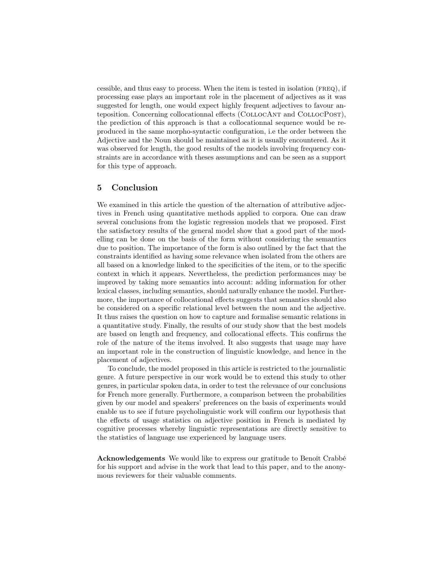cessible, and thus easy to process. When the item is tested in isolation (freq), if processing ease plays an important role in the placement of adjectives as it was suggested for length, one would expect highly frequent adjectives to favour anteposition. Concerning collocationnal effects (CollocAnt and CollocPost), the prediction of this approach is that a collocationnal sequence would be reproduced in the same morpho-syntactic configuration, i.e the order between the Adjective and the Noun should be maintained as it is usually encountered. As it was observed for length, the good results of the models involving frequency constraints are in accordance with theses assumptions and can be seen as a support for this type of approach.

# 5 Conclusion

We examined in this article the question of the alternation of attributive adjectives in French using quantitative methods applied to corpora. One can draw several conclusions from the logistic regression models that we proposed. First the satisfactory results of the general model show that a good part of the modelling can be done on the basis of the form without considering the semantics due to position. The importance of the form is also outlined by the fact that the constraints identified as having some relevance when isolated from the others are all based on a knowledge linked to the specificities of the item, or to the specific context in which it appears. Nevertheless, the prediction performances may be improved by taking more semantics into account: adding information for other lexical classes, including semantics, should naturally enhance the model. Furthermore, the importance of collocational effects suggests that semantics should also be considered on a specific relational level between the noun and the adjective. It thus raises the question on how to capture and formalise semantic relations in a quantitative study. Finally, the results of our study show that the best models are based on length and frequency, and collocational effects. This confirms the role of the nature of the items involved. It also suggests that usage may have an important role in the construction of linguistic knowledge, and hence in the placement of adjectives.

To conclude, the model proposed in this article is restricted to the journalistic genre. A future perspective in our work would be to extend this study to other genres, in particular spoken data, in order to test the relevance of our conclusions for French more generally. Furthermore, a comparison between the probabilities given by our model and speakers' preferences on the basis of experiments would enable us to see if future psycholinguistic work will confirm our hypothesis that the effects of usage statistics on adjective position in French is mediated by cognitive processes whereby linguistic representations are directly sensitive to the statistics of language use experienced by language users.

Acknowledgements We would like to express our gratitude to Benoît Crabbé for his support and advise in the work that lead to this paper, and to the anonymous reviewers for their valuable comments.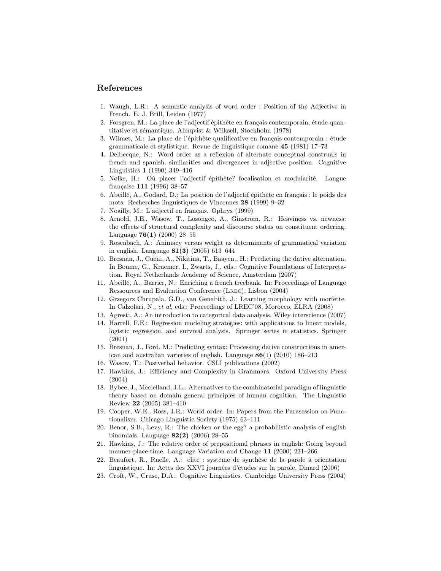### References

- 1. Waugh, L.R.: A semantic analysis of word order : Position of the Adjective in French. E. J. Brill, Leiden (1977)
- 2. Forsgren, M.: La place de l'adjectif épithète en français contemporain, étude quantitative et sémantique. Almqvist & Wilksell, Stockholm (1978)
- 3. Wilmet, M.: La place de l'épithète qualificative en français contemporain : étude grammaticale et stylistique. Revue de linguistique romane 45 (1981) 17–73
- 4. Delbecque, N.: Word order as a reflexion of alternate conceptual construals in french and spanish. similarities and divergences in adjective position. Cognitive Linguistics 1 (1990) 349–416
- 5. Nølke, H.: Où placer l'adjectif épithète? focalisation et modularité. Langue française 111 (1996) 38–57
- 6. Abeillé, A., Godard, D.: La position de l'adjectif èpithète en français : le poids des mots. Recherches linguistiques de Vincennes 28 (1999) 9–32
- 7. Noailly, M.: L'adjectif en français. Ophrys (1999)
- 8. Arnold, J.E., Wasow, T., Losongco, A., Ginstrom, R.: Heaviness vs. newness: the effects of structural complexity and discourse status on constituent ordering. Language 76(1) (2000) 28–55
- 9. Rosenbach, A.: Animacy versus weight as determinants of grammatical variation in english. Language  $81(3)$  (2005) 613–644
- 10. Bresnan, J., Cueni, A., Nikitina, T., Baayen., H.: Predicting the dative alternation. In Boume, G., Kraemer, I., Zwarts, J., eds.: Cognitive Foundations of Interpretation. Royal Netherlands Academy of Science, Amsterdam (2007)
- 11. Abeillé, A., Barrier, N.: Enriching a french treebank. In: Proceedings of Language Ressources and Evaluation Conference (Lrec), Lisbon (2004)
- 12. Grzegorz Chrupala, G.D., van Genabith, J.: Learning morphology with morfette. In Calzolari, N., et al, eds.: Proceedings of LREC'08, Morocco, ELRA (2008)
- 13. Agresti, A.: An introduction to categorical data analysis. Wiley interscience (2007)
- 14. Harrell, F.E.: Regression modeling strategies: with applications to linear models, logistic regression, and survival analysis. Springer series in statistics. Springer (2001)
- 15. Bresnan, J., Ford, M.: Predicting syntax: Processing dative constructions in american and australian varieties of english. Language 86(1) (2010) 186–213
- 16. Wasow, T.: Postverbal behavior. CSLI publications (2002)
- 17. Hawkins, J.: Efficiency and Complexity in Grammars. Oxford University Press (2004)
- 18. Bybee, J., Mcclelland, J.L.: Alternatives to the combinatorial paradigm of linguistic theory based on domain general principles of human cognition. The Linguistic Review 22 (2005) 381–410
- 19. Cooper, W.E., Ross, J.R.: World order. In: Papers from the Parasession on Functionalism. Chicago Linguistic Society (1975) 63–111
- 20. Benor, S.B., Levy, R.: The chicken or the egg? a probabilistic analysis of english binomials. Language 82(2) (2006) 28–55
- 21. Hawkins, J.: The relative order of prepositional phrases in english: Going beyond manner-place-time. Language Variation and Change 11 (2000) 231–266
- 22. Beaufort, R., Ruelle, A.: elite : système de synthèse de la parole à orientation linguistique. In: Actes des XXVI journées d'études sur la parole, Dinard (2006)
- 23. Croft, W., Cruse, D.A.: Cognitive Linguistics. Cambridge University Press (2004)